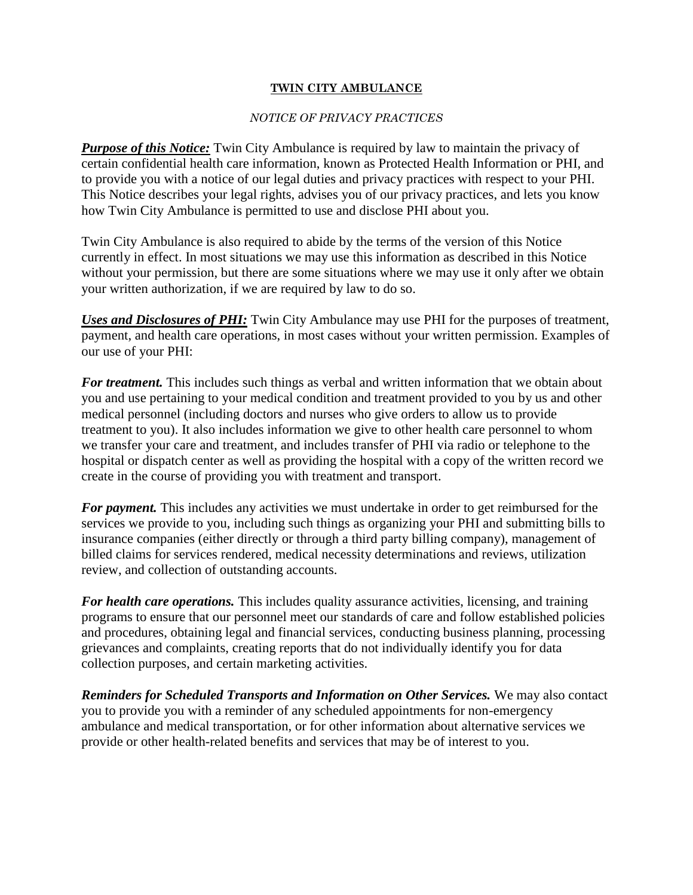## **TWIN CITY AMBULANCE**

## *NOTICE OF PRIVACY PRACTICES*

**Purpose of this Notice:** Twin City Ambulance is required by law to maintain the privacy of certain confidential health care information, known as Protected Health Information or PHI, and to provide you with a notice of our legal duties and privacy practices with respect to your PHI. This Notice describes your legal rights, advises you of our privacy practices, and lets you know how Twin City Ambulance is permitted to use and disclose PHI about you.

Twin City Ambulance is also required to abide by the terms of the version of this Notice currently in effect. In most situations we may use this information as described in this Notice without your permission, but there are some situations where we may use it only after we obtain your written authorization, if we are required by law to do so.

*Uses and Disclosures of PHI:* Twin City Ambulance may use PHI for the purposes of treatment, payment, and health care operations, in most cases without your written permission. Examples of our use of your PHI:

*For treatment.* This includes such things as verbal and written information that we obtain about you and use pertaining to your medical condition and treatment provided to you by us and other medical personnel (including doctors and nurses who give orders to allow us to provide treatment to you). It also includes information we give to other health care personnel to whom we transfer your care and treatment, and includes transfer of PHI via radio or telephone to the hospital or dispatch center as well as providing the hospital with a copy of the written record we create in the course of providing you with treatment and transport.

*For payment.* This includes any activities we must undertake in order to get reimbursed for the services we provide to you, including such things as organizing your PHI and submitting bills to insurance companies (either directly or through a third party billing company), management of billed claims for services rendered, medical necessity determinations and reviews, utilization review, and collection of outstanding accounts.

*For health care operations.* This includes quality assurance activities, licensing, and training programs to ensure that our personnel meet our standards of care and follow established policies and procedures, obtaining legal and financial services, conducting business planning, processing grievances and complaints, creating reports that do not individually identify you for data collection purposes, and certain marketing activities.

*Reminders for Scheduled Transports and Information on Other Services.* We may also contact you to provide you with a reminder of any scheduled appointments for non-emergency ambulance and medical transportation, or for other information about alternative services we provide or other health-related benefits and services that may be of interest to you.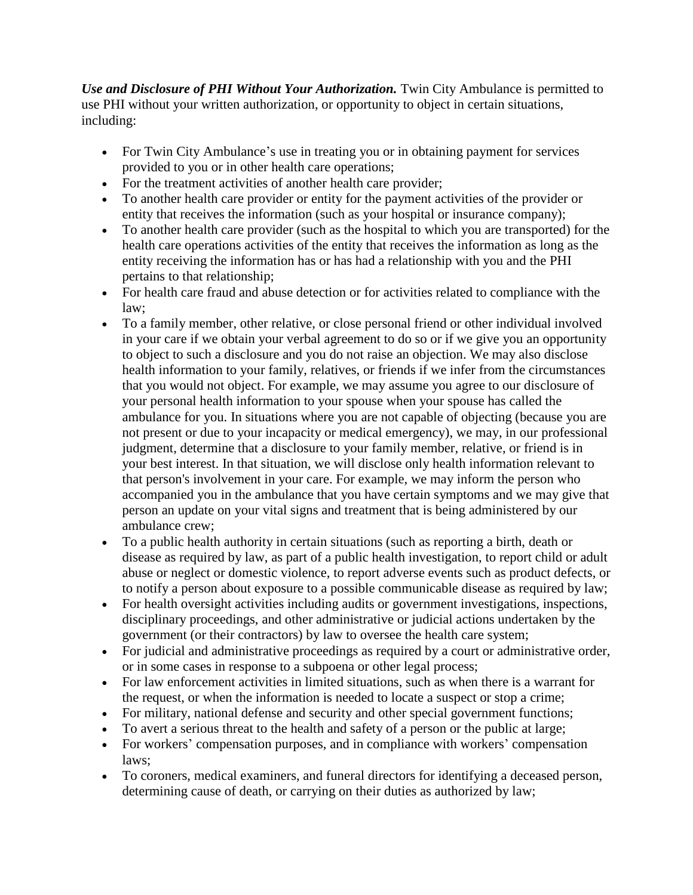*Use and Disclosure of PHI Without Your Authorization.* Twin City Ambulance is permitted to use PHI without your written authorization, or opportunity to object in certain situations, including:

- For Twin City Ambulance's use in treating you or in obtaining payment for services provided to you or in other health care operations;
- For the treatment activities of another health care provider;
- To another health care provider or entity for the payment activities of the provider or entity that receives the information (such as your hospital or insurance company);
- To another health care provider (such as the hospital to which you are transported) for the health care operations activities of the entity that receives the information as long as the entity receiving the information has or has had a relationship with you and the PHI pertains to that relationship;
- For health care fraud and abuse detection or for activities related to compliance with the law;
- To a family member, other relative, or close personal friend or other individual involved in your care if we obtain your verbal agreement to do so or if we give you an opportunity to object to such a disclosure and you do not raise an objection. We may also disclose health information to your family, relatives, or friends if we infer from the circumstances that you would not object. For example, we may assume you agree to our disclosure of your personal health information to your spouse when your spouse has called the ambulance for you. In situations where you are not capable of objecting (because you are not present or due to your incapacity or medical emergency), we may, in our professional judgment, determine that a disclosure to your family member, relative, or friend is in your best interest. In that situation, we will disclose only health information relevant to that person's involvement in your care. For example, we may inform the person who accompanied you in the ambulance that you have certain symptoms and we may give that person an update on your vital signs and treatment that is being administered by our ambulance crew;
- To a public health authority in certain situations (such as reporting a birth, death or disease as required by law, as part of a public health investigation, to report child or adult abuse or neglect or domestic violence, to report adverse events such as product defects, or to notify a person about exposure to a possible communicable disease as required by law;
- For health oversight activities including audits or government investigations, inspections, disciplinary proceedings, and other administrative or judicial actions undertaken by the government (or their contractors) by law to oversee the health care system;
- For judicial and administrative proceedings as required by a court or administrative order, or in some cases in response to a subpoena or other legal process;
- For law enforcement activities in limited situations, such as when there is a warrant for the request, or when the information is needed to locate a suspect or stop a crime;
- For military, national defense and security and other special government functions;
- To avert a serious threat to the health and safety of a person or the public at large;
- For workers' compensation purposes, and in compliance with workers' compensation laws;
- To coroners, medical examiners, and funeral directors for identifying a deceased person, determining cause of death, or carrying on their duties as authorized by law;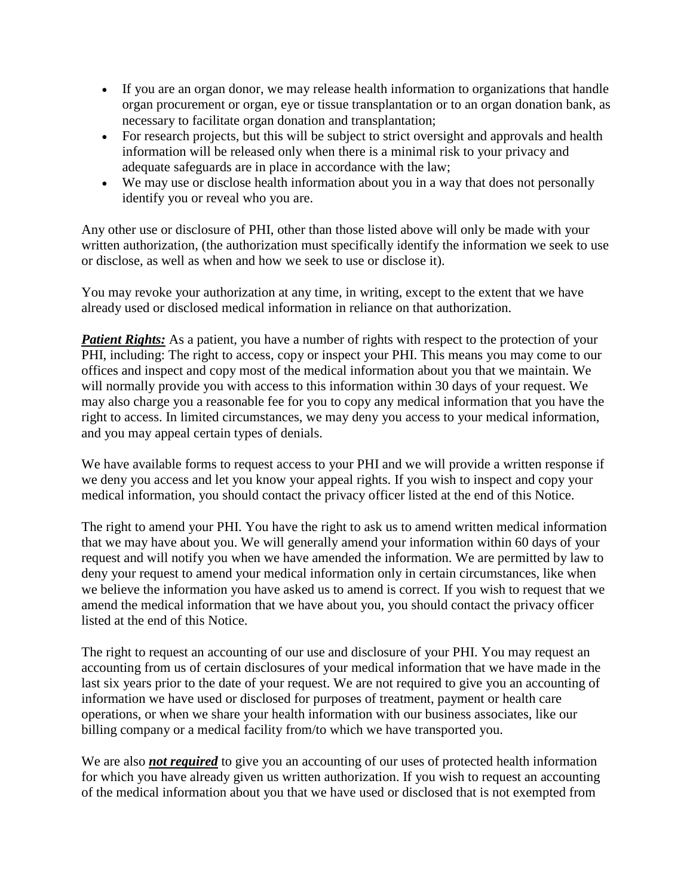- If you are an organ donor, we may release health information to organizations that handle organ procurement or organ, eye or tissue transplantation or to an organ donation bank, as necessary to facilitate organ donation and transplantation;
- For research projects, but this will be subject to strict oversight and approvals and health information will be released only when there is a minimal risk to your privacy and adequate safeguards are in place in accordance with the law;
- We may use or disclose health information about you in a way that does not personally identify you or reveal who you are.

Any other use or disclosure of PHI, other than those listed above will only be made with your written authorization, (the authorization must specifically identify the information we seek to use or disclose, as well as when and how we seek to use or disclose it).

You may revoke your authorization at any time, in writing, except to the extent that we have already used or disclosed medical information in reliance on that authorization.

*Patient Rights:* As a patient, you have a number of rights with respect to the protection of your PHI, including: The right to access, copy or inspect your PHI. This means you may come to our offices and inspect and copy most of the medical information about you that we maintain. We will normally provide you with access to this information within 30 days of your request. We may also charge you a reasonable fee for you to copy any medical information that you have the right to access. In limited circumstances, we may deny you access to your medical information, and you may appeal certain types of denials.

We have available forms to request access to your PHI and we will provide a written response if we deny you access and let you know your appeal rights. If you wish to inspect and copy your medical information, you should contact the privacy officer listed at the end of this Notice.

The right to amend your PHI. You have the right to ask us to amend written medical information that we may have about you. We will generally amend your information within 60 days of your request and will notify you when we have amended the information. We are permitted by law to deny your request to amend your medical information only in certain circumstances, like when we believe the information you have asked us to amend is correct. If you wish to request that we amend the medical information that we have about you, you should contact the privacy officer listed at the end of this Notice.

The right to request an accounting of our use and disclosure of your PHI. You may request an accounting from us of certain disclosures of your medical information that we have made in the last six years prior to the date of your request. We are not required to give you an accounting of information we have used or disclosed for purposes of treatment, payment or health care operations, or when we share your health information with our business associates, like our billing company or a medical facility from/to which we have transported you.

We are also *not required* to give you an accounting of our uses of protected health information for which you have already given us written authorization. If you wish to request an accounting of the medical information about you that we have used or disclosed that is not exempted from